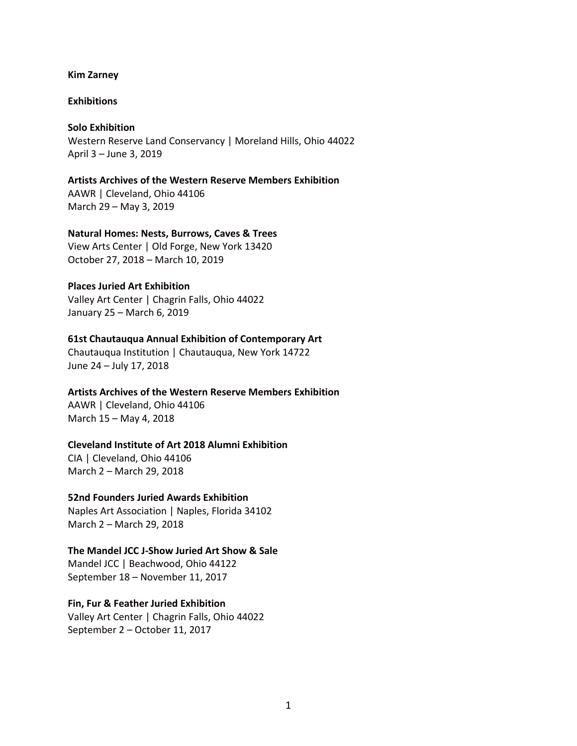#### **Kim Zarney**

### **Exhibitions**

### **Solo Exhibition**

Western Reserve Land Conservancy | Moreland Hills, Ohio 44022 April 3 – June 3, 2019

**Artists Archives of the Western Reserve Members Exhibition** AAWR | Cleveland, Ohio 44106 March 29 – May 3, 2019

### **Natural Homes: Nests, Burrows, Caves & Trees**

View Arts Center | Old Forge, New York 13420 October 27, 2018 – March 10, 2019

# **Places Juried Art Exhibition**

Valley Art Center | Chagrin Falls, Ohio 44022 January 25 – March 6, 2019

### **61st Chautauqua Annual Exhibition of Contemporary Art**

Chautauqua Institution | Chautauqua, New York 14722 June 24 – July 17, 2018

#### **Artists Archives of the Western Reserve Members Exhibition**

AAWR | Cleveland, Ohio 44106 March 15 – May 4, 2018

### **Cleveland Institute of Art 2018 Alumni Exhibition**

CIA | Cleveland, Ohio 44106 March 2 – March 29, 2018

### **52nd Founders Juried Awards Exhibition**

Naples Art Association | Naples, Florida 34102 March 2 – March 29, 2018

### **The Mandel JCC J-Show Juried Art Show & Sale** Mandel JCC | Beachwood, Ohio 44122

September 18 – November 11, 2017

### **Fin, Fur & Feather Juried Exhibition**

Valley Art Center | Chagrin Falls, Ohio 44022 September 2 – October 11, 2017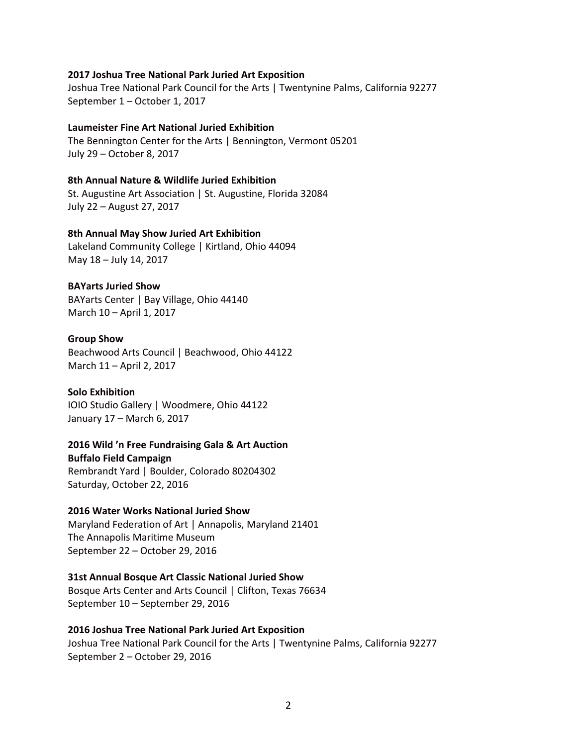### **2017 Joshua Tree National Park Juried Art Exposition**

Joshua Tree National Park Council for the Arts | Twentynine Palms, California 92277 September 1 – October 1, 2017

### **Laumeister Fine Art National Juried Exhibition**

The Bennington Center for the Arts | Bennington, Vermont 05201 July 29 – October 8, 2017

### **8th Annual Nature & Wildlife Juried Exhibition**

St. Augustine Art Association | St. Augustine, Florida 32084 July 22 – August 27, 2017

### **8th Annual May Show Juried Art Exhibition**

Lakeland Community College | Kirtland, Ohio 44094 May 18 – July 14, 2017

### **BAYarts Juried Show**

BAYarts Center | Bay Village, Ohio 44140 March 10 – April 1, 2017

#### **Group Show**

Beachwood Arts Council | Beachwood, Ohio 44122 March 11 – April 2, 2017

#### **Solo Exhibition**

IOIO Studio Gallery | Woodmere, Ohio 44122 January 17 – March 6, 2017

#### **2016 Wild 'n Free Fundraising Gala & Art Auction**

**Buffalo Field Campaign**

Rembrandt Yard | Boulder, Colorado 80204302 Saturday, October 22, 2016

### **2016 Water Works National Juried Show**

Maryland Federation of Art | Annapolis, Maryland 21401 The Annapolis Maritime Museum September 22 – October 29, 2016

#### **31st Annual Bosque Art Classic National Juried Show**

Bosque Arts Center and Arts Council | Clifton, Texas 76634 September 10 – September 29, 2016

#### **2016 Joshua Tree National Park Juried Art Exposition**

Joshua Tree National Park Council for the Arts | Twentynine Palms, California 92277 September 2 – October 29, 2016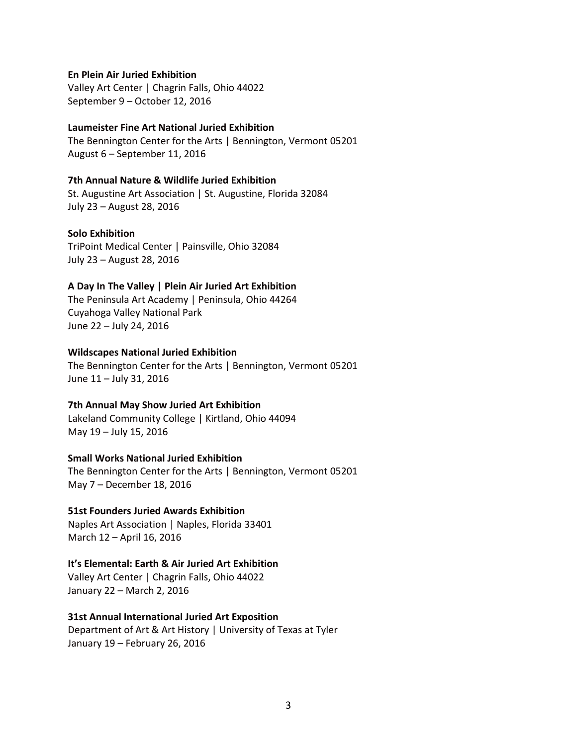### **En Plein Air Juried Exhibition**

Valley Art Center | Chagrin Falls, Ohio 44022 September 9 – October 12, 2016

#### **Laumeister Fine Art National Juried Exhibition**

The Bennington Center for the Arts | Bennington, Vermont 05201 August 6 – September 11, 2016

### **7th Annual Nature & Wildlife Juried Exhibition**

St. Augustine Art Association | St. Augustine, Florida 32084 July 23 – August 28, 2016

### **Solo Exhibition**

TriPoint Medical Center | Painsville, Ohio 32084 July 23 – August 28, 2016

### **A Day In The Valley | Plein Air Juried Art Exhibition**

The Peninsula Art Academy | Peninsula, Ohio 44264 Cuyahoga Valley National Park June 22 – July 24, 2016

### **Wildscapes National Juried Exhibition**

The Bennington Center for the Arts | Bennington, Vermont 05201 June 11 – July 31, 2016

### **7th Annual May Show Juried Art Exhibition**

Lakeland Community College | Kirtland, Ohio 44094 May 19 – July 15, 2016

# **Small Works National Juried Exhibition**

The Bennington Center for the Arts | Bennington, Vermont 05201 May 7 – December 18, 2016

### **51st Founders Juried Awards Exhibition**

Naples Art Association | Naples, Florida 33401 March 12 – April 16, 2016

### **It's Elemental: Earth & Air Juried Art Exhibition**

Valley Art Center | Chagrin Falls, Ohio 44022 January 22 – March 2, 2016

#### **31st Annual International Juried Art Exposition**

Department of Art & Art History | University of Texas at Tyler January 19 – February 26, 2016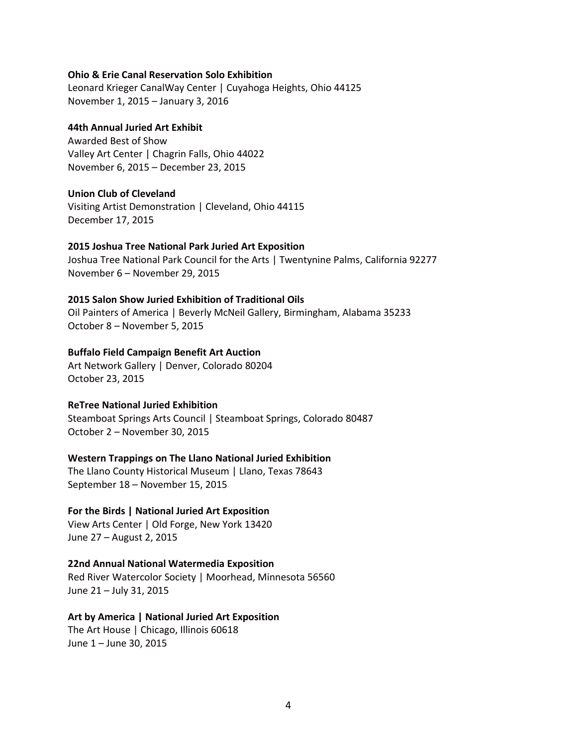### **Ohio & Erie Canal Reservation Solo Exhibition**

Leonard Krieger CanalWay Center | Cuyahoga Heights, Ohio 44125 November 1, 2015 – January 3, 2016

### **44th Annual Juried Art Exhibit**

Awarded Best of Show Valley Art Center | Chagrin Falls, Ohio 44022 November 6, 2015 – December 23, 2015

### **Union Club of Cleveland**

Visiting Artist Demonstration | Cleveland, Ohio 44115 December 17, 2015

### **2015 Joshua Tree National Park Juried Art Exposition**

Joshua Tree National Park Council for the Arts | Twentynine Palms, California 92277 November 6 – November 29, 2015

### **2015 Salon Show Juried Exhibition of Traditional Oils**

Oil Painters of America | Beverly McNeil Gallery, Birmingham, Alabama 35233 October 8 – November 5, 2015

### **Buffalo Field Campaign Benefit Art Auction**

Art Network Gallery | Denver, Colorado 80204 October 23, 2015

#### **ReTree National Juried Exhibition**

Steamboat Springs Arts Council | Steamboat Springs, Colorado 80487 October 2 – November 30, 2015

### **Western Trappings on The Llano National Juried Exhibition**

The Llano County Historical Museum | Llano, Texas 78643 September 18 – November 15, 2015

### **For the Birds | National Juried Art Exposition**

View Arts Center | Old Forge, New York 13420 June 27 – August 2, 2015

### **22nd Annual National Watermedia Exposition**

Red River Watercolor Society | Moorhead, Minnesota 56560 June 21 – July 31, 2015

### **Art by America | National Juried Art Exposition**

The Art House | Chicago, Illinois 60618 June 1 – June 30, 2015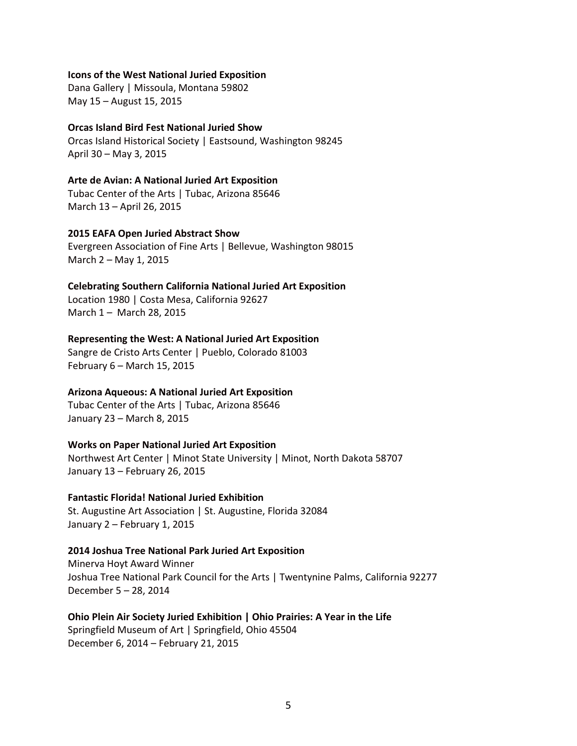### **Icons of the West National Juried Exposition**

Dana Gallery | Missoula, Montana 59802 May 15 – August 15, 2015

### **Orcas Island Bird Fest National Juried Show**

Orcas Island Historical Society | Eastsound, Washington 98245 April 30 – May 3, 2015

#### **Arte de Avian: A National Juried Art Exposition**

Tubac Center of the Arts | Tubac, Arizona 85646 March 13 – April 26, 2015

### **2015 EAFA Open Juried Abstract Show**

Evergreen Association of Fine Arts | Bellevue, Washington 98015 March 2 – May 1, 2015

#### **Celebrating Southern California National Juried Art Exposition**

Location 1980 | Costa Mesa, California 92627 March 1 – March 28, 2015

### **Representing the West: A National Juried Art Exposition**

Sangre de Cristo Arts Center | Pueblo, Colorado 81003 February 6 – March 15, 2015

#### **Arizona Aqueous: A National Juried Art Exposition**

Tubac Center of the Arts | Tubac, Arizona 85646 January 23 – March 8, 2015

### **Works on Paper National Juried Art Exposition**

Northwest Art Center | Minot State University | Minot, North Dakota 58707 January 13 – February 26, 2015

### **Fantastic Florida! National Juried Exhibition**

St. Augustine Art Association | St. Augustine, Florida 32084 January 2 – February 1, 2015

#### **2014 Joshua Tree National Park Juried Art Exposition**

Minerva Hoyt Award Winner Joshua Tree National Park Council for the Arts | Twentynine Palms, California 92277 December 5 – 28, 2014

**Ohio Plein Air Society Juried Exhibition | Ohio Prairies: A Year in the Life** Springfield Museum of Art | Springfield, Ohio 45504 December 6, 2014 – February 21, 2015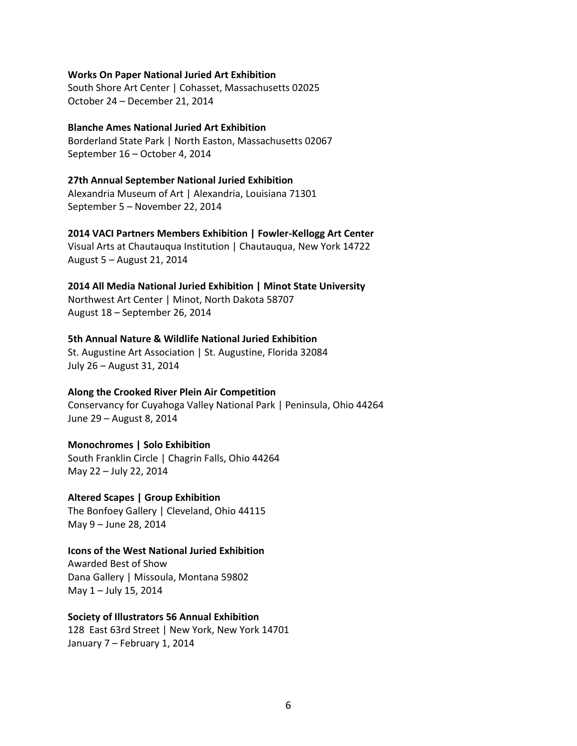#### **Works On Paper National Juried Art Exhibition**

South Shore Art Center | Cohasset, Massachusetts 02025 October 24 – December 21, 2014

### **Blanche Ames National Juried Art Exhibition**

Borderland State Park | North Easton, Massachusetts 02067 September 16 – October 4, 2014

# **27th Annual September National Juried Exhibition**

Alexandria Museum of Art | Alexandria, Louisiana 71301 September 5 – November 22, 2014

### **2014 VACI Partners Members Exhibition | Fowler-Kellogg Art Center**

Visual Arts at Chautauqua Institution | Chautauqua, New York 14722 August 5 – August 21, 2014

### **2014 All Media National Juried Exhibition | Minot State University**

Northwest Art Center | Minot, North Dakota 58707 August 18 – September 26, 2014

### **5th Annual Nature & Wildlife National Juried Exhibition**

St. Augustine Art Association | St. Augustine, Florida 32084 July 26 – August 31, 2014

### **Along the Crooked River Plein Air Competition**

Conservancy for Cuyahoga Valley National Park | Peninsula, Ohio 44264 June 29 – August 8, 2014

### **Monochromes | Solo Exhibition**

South Franklin Circle | Chagrin Falls, Ohio 44264 May 22 – July 22, 2014

**Altered Scapes | Group Exhibition** The Bonfoey Gallery | Cleveland, Ohio 44115 May 9 – June 28, 2014

### **Icons of the West National Juried Exhibition**

Awarded Best of Show Dana Gallery | Missoula, Montana 59802 May 1 – July 15, 2014

### **Society of Illustrators 56 Annual Exhibition**

128 East 63rd Street | New York, New York 14701 January 7 – February 1, 2014